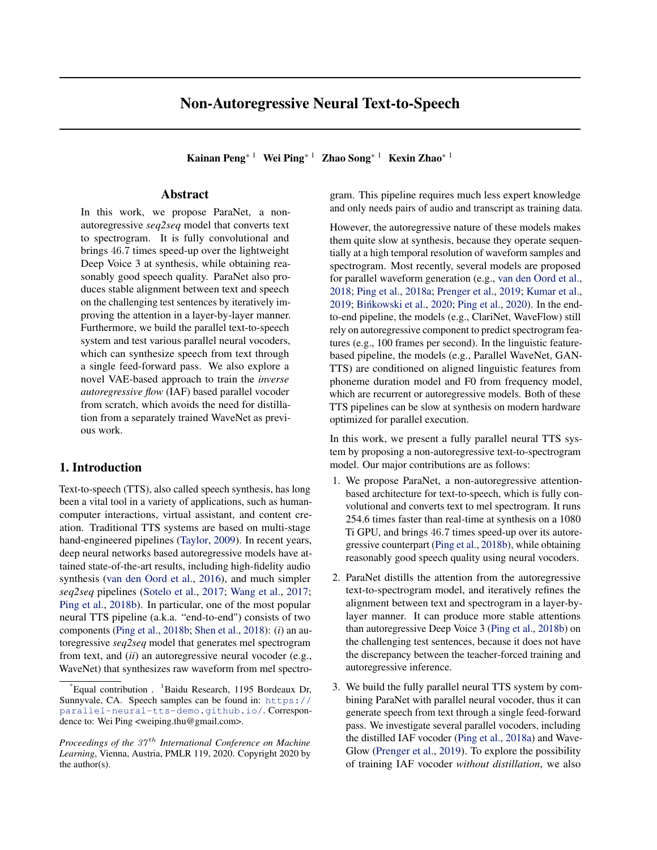# Non-Autoregressive Neural Text-to-Speech

Kainan Peng<sup>∗</sup> <sup>1</sup> Wei Ping<sup>∗</sup> <sup>1</sup> Zhao Song<sup>∗</sup> <sup>1</sup> Kexin Zhao<sup>∗</sup> <sup>1</sup>

## Abstract

In this work, we propose ParaNet, a nonautoregressive *seq2seq* model that converts text to spectrogram. It is fully convolutional and brings 46.7 times speed-up over the lightweight Deep Voice 3 at synthesis, while obtaining reasonably good speech quality. ParaNet also produces stable alignment between text and speech on the challenging test sentences by iteratively improving the attention in a layer-by-layer manner. Furthermore, we build the parallel text-to-speech system and test various parallel neural vocoders, which can synthesize speech from text through a single feed-forward pass. We also explore a novel VAE-based approach to train the *inverse autoregressive flow* (IAF) based parallel vocoder from scratch, which avoids the need for distillation from a separately trained WaveNet as previous work.

## 1. Introduction

Text-to-speech (TTS), also called speech synthesis, has long been a vital tool in a variety of applications, such as humancomputer interactions, virtual assistant, and content creation. Traditional TTS systems are based on multi-stage hand-engineered pipelines [\(Taylor,](#page-9-0) [2009\)](#page-9-0). In recent years, deep neural networks based autoregressive models have attained state-of-the-art results, including high-fidelity audio synthesis [\(van den Oord et al.,](#page-9-0) [2016\)](#page-9-0), and much simpler *seq2seq* pipelines [\(Sotelo et al.,](#page-9-0) [2017;](#page-9-0) [Wang et al.,](#page-9-0) [2017;](#page-9-0) [Ping et al.,](#page-9-0) [2018b\)](#page-9-0). In particular, one of the most popular neural TTS pipeline (a.k.a. "end-to-end") consists of two components [\(Ping et al.,](#page-9-0) [2018b;](#page-9-0) [Shen et al.,](#page-9-0) [2018\)](#page-9-0): (*i*) an autoregressive *seq2seq* model that generates mel spectrogram from text, and (*ii*) an autoregressive neural vocoder (e.g., WaveNet) that synthesizes raw waveform from mel spectrogram. This pipeline requires much less expert knowledge and only needs pairs of audio and transcript as training data.

However, the autoregressive nature of these models makes them quite slow at synthesis, because they operate sequentially at a high temporal resolution of waveform samples and spectrogram. Most recently, several models are proposed for parallel waveform generation (e.g., [van den Oord et al.,](#page-9-0) [2018;](#page-9-0) [Ping et al.,](#page-9-0) [2018a;](#page-9-0) [Prenger et al.,](#page-9-0) [2019;](#page-9-0) [Kumar et al.,](#page-9-0) [2019;](#page-9-0) [Binkowski et al.](#page-8-0), [2020;](#page-8-0) [Ping et al.,](#page-9-0) [2020\)](#page-9-0). In the endto-end pipeline, the models (e.g., ClariNet, WaveFlow) still rely on autoregressive component to predict spectrogram features (e.g., 100 frames per second). In the linguistic featurebased pipeline, the models (e.g., Parallel WaveNet, GAN-TTS) are conditioned on aligned linguistic features from phoneme duration model and F0 from frequency model, which are recurrent or autoregressive models. Both of these TTS pipelines can be slow at synthesis on modern hardware optimized for parallel execution.

In this work, we present a fully parallel neural TTS system by proposing a non-autoregressive text-to-spectrogram model. Our major contributions are as follows:

- 1. We propose ParaNet, a non-autoregressive attentionbased architecture for text-to-speech, which is fully convolutional and converts text to mel spectrogram. It runs 254.6 times faster than real-time at synthesis on a 1080 Ti GPU, and brings 46.7 times speed-up over its autoregressive counterpart [\(Ping et al.,](#page-9-0) [2018b\)](#page-9-0), while obtaining reasonably good speech quality using neural vocoders.
- 2. ParaNet distills the attention from the autoregressive text-to-spectrogram model, and iteratively refines the alignment between text and spectrogram in a layer-bylayer manner. It can produce more stable attentions than autoregressive Deep Voice 3 [\(Ping et al.,](#page-9-0) [2018b\)](#page-9-0) on the challenging test sentences, because it does not have the discrepancy between the teacher-forced training and autoregressive inference.
- 3. We build the fully parallel neural TTS system by combining ParaNet with parallel neural vocoder, thus it can generate speech from text through a single feed-forward pass. We investigate several parallel vocoders, including the distilled IAF vocoder [\(Ping et al.,](#page-9-0) [2018a\)](#page-9-0) and Wave-Glow [\(Prenger et al.,](#page-9-0) [2019\)](#page-9-0). To explore the possibility of training IAF vocoder *without distillation*, we also

Equal contribution .  ${}^{1}$ Baidu Research, 1195 Bordeaux Dr, Sunnyvale, CA. Speech samples can be found in: [https://](https://parallel-neural-tts-demo.github.io/) [parallel-neural-tts-demo.github.io/](https://parallel-neural-tts-demo.github.io/). Correspondence to: Wei Ping <weiping.thu@gmail.com>.

*Proceedings of the 37<sup>th</sup> International Conference on Machine Learning*, Vienna, Austria, PMLR 119, 2020. Copyright 2020 by the author(s).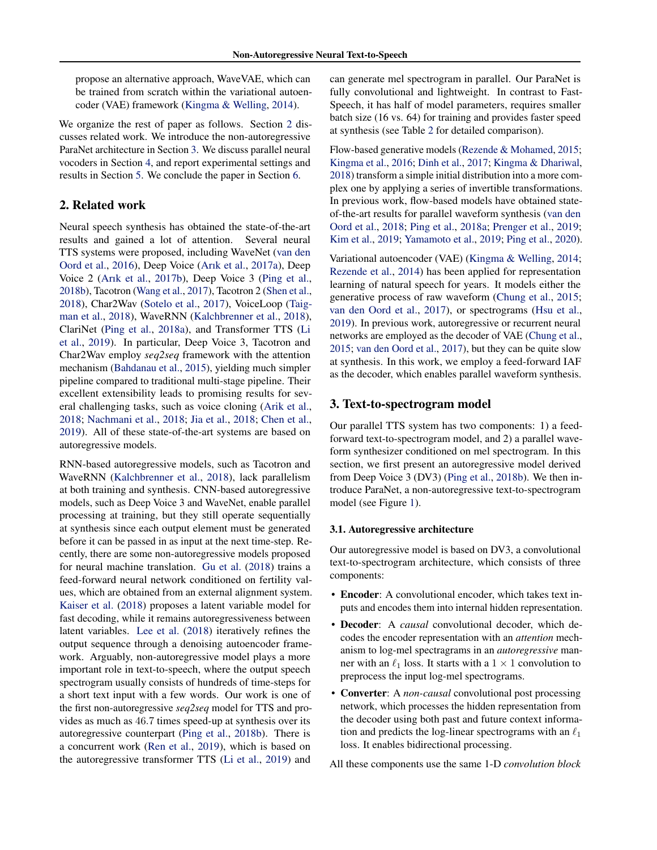propose an alternative approach, WaveVAE, which can be trained from scratch within the variational autoencoder (VAE) framework [\(Kingma & Welling,](#page-9-0) [2014\)](#page-9-0).

We organize the rest of paper as follows. Section 2 discusses related work. We introduce the non-autoregressive ParaNet architecture in Section 3. We discuss parallel neural vocoders in Section [4,](#page-4-0) and report experimental settings and results in Section [5.](#page-5-0) We conclude the paper in Section [6.](#page-8-0)

## 2. Related work

Neural speech synthesis has obtained the state-of-the-art results and gained a lot of attention. Several neural TTS systems were proposed, including WaveNet [\(van den](#page-9-0) [Oord et al.,](#page-9-0) [2016\)](#page-9-0), Deep Voice [\(Arık et al.,](#page-8-0) [2017a\)](#page-8-0), Deep Voice 2 [\(Arık et al.,](#page-8-0) [2017b\)](#page-8-0), Deep Voice 3 [\(Ping et al.,](#page-9-0) [2018b\)](#page-9-0), Tacotron [\(Wang et al.,](#page-9-0) [2017\)](#page-9-0), Tacotron 2 [\(Shen et al.,](#page-9-0) [2018\)](#page-9-0), Char2Wav [\(Sotelo et al.,](#page-9-0) [2017\)](#page-9-0), VoiceLoop [\(Taig](#page-9-0)[man et al.,](#page-9-0) [2018\)](#page-9-0), WaveRNN [\(Kalchbrenner et al.,](#page-8-0) [2018\)](#page-8-0), ClariNet [\(Ping et al.,](#page-9-0) [2018a\)](#page-9-0), and Transformer TTS [\(Li](#page-9-0) [et al.,](#page-9-0) [2019\)](#page-9-0). In particular, Deep Voice 3, Tacotron and Char2Wav employ *seq2seq* framework with the attention mechanism [\(Bahdanau et al.,](#page-8-0) [2015\)](#page-8-0), yielding much simpler pipeline compared to traditional multi-stage pipeline. Their excellent extensibility leads to promising results for several challenging tasks, such as voice cloning [\(Arik et al.,](#page-8-0) [2018;](#page-8-0) [Nachmani et al.,](#page-9-0) [2018;](#page-9-0) [Jia et al.,](#page-8-0) [2018;](#page-8-0) [Chen et al.,](#page-8-0) [2019\)](#page-8-0). All of these state-of-the-art systems are based on autoregressive models.

RNN-based autoregressive models, such as Tacotron and WaveRNN [\(Kalchbrenner et al.,](#page-8-0) [2018\)](#page-8-0), lack parallelism at both training and synthesis. CNN-based autoregressive models, such as Deep Voice 3 and WaveNet, enable parallel processing at training, but they still operate sequentially at synthesis since each output element must be generated before it can be passed in as input at the next time-step. Recently, there are some non-autoregressive models proposed for neural machine translation. [Gu et al.](#page-8-0) [\(2018\)](#page-8-0) trains a feed-forward neural network conditioned on fertility values, which are obtained from an external alignment system. [Kaiser et al.](#page-8-0) [\(2018\)](#page-8-0) proposes a latent variable model for fast decoding, while it remains autoregressiveness between latent variables. [Lee et al.](#page-9-0) [\(2018\)](#page-9-0) iteratively refines the output sequence through a denoising autoencoder framework. Arguably, non-autoregressive model plays a more important role in text-to-speech, where the output speech spectrogram usually consists of hundreds of time-steps for a short text input with a few words. Our work is one of the first non-autoregressive *seq2seq* model for TTS and provides as much as 46.7 times speed-up at synthesis over its autoregressive counterpart [\(Ping et al.,](#page-9-0) [2018b\)](#page-9-0). There is a concurrent work [\(Ren et al.,](#page-9-0) [2019\)](#page-9-0), which is based on the autoregressive transformer TTS [\(Li et al.,](#page-9-0) [2019\)](#page-9-0) and

can generate mel spectrogram in parallel. Our ParaNet is fully convolutional and lightweight. In contrast to Fast-Speech, it has half of model parameters, requires smaller batch size (16 vs. 64) for training and provides faster speed at synthesis (see Table [2](#page-6-0) for detailed comparison).

Flow-based generative models [\(Rezende & Mohamed,](#page-9-0) [2015;](#page-9-0) [Kingma et al.,](#page-9-0) [2016;](#page-9-0) [Dinh et al.,](#page-8-0) [2017;](#page-8-0) [Kingma & Dhariwal,](#page-8-0) [2018\)](#page-8-0) transform a simple initial distribution into a more complex one by applying a series of invertible transformations. In previous work, flow-based models have obtained stateof-the-art results for parallel waveform synthesis [\(van den](#page-9-0) [Oord et al.,](#page-9-0) [2018;](#page-9-0) [Ping et al.,](#page-9-0) [2018a;](#page-9-0) [Prenger et al.,](#page-9-0) [2019;](#page-9-0) [Kim et al.,](#page-8-0) [2019;](#page-8-0) [Yamamoto et al.,](#page-9-0) [2019;](#page-9-0) [Ping et al.,](#page-9-0) [2020\)](#page-9-0).

Variational autoencoder (VAE) [\(Kingma & Welling,](#page-9-0) [2014;](#page-9-0) [Rezende et al.,](#page-9-0) [2014\)](#page-9-0) has been applied for representation learning of natural speech for years. It models either the generative process of raw waveform [\(Chung et al.,](#page-8-0) [2015;](#page-8-0) [van den Oord et al.,](#page-9-0) [2017\)](#page-9-0), or spectrograms [\(Hsu et al.,](#page-8-0) [2019\)](#page-8-0). In previous work, autoregressive or recurrent neural networks are employed as the decoder of VAE [\(Chung et al.,](#page-8-0) [2015;](#page-8-0) [van den Oord et al.,](#page-9-0) [2017\)](#page-9-0), but they can be quite slow at synthesis. In this work, we employ a feed-forward IAF as the decoder, which enables parallel waveform synthesis.

## 3. Text-to-spectrogram model

Our parallel TTS system has two components: 1) a feedforward text-to-spectrogram model, and 2) a parallel waveform synthesizer conditioned on mel spectrogram. In this section, we first present an autoregressive model derived from Deep Voice 3 (DV3) [\(Ping et al.,](#page-9-0) [2018b\)](#page-9-0). We then introduce ParaNet, a non-autoregressive text-to-spectrogram model (see Figure [1\)](#page-2-0).

#### 3.1. Autoregressive architecture

Our autoregressive model is based on DV3, a convolutional text-to-spectrogram architecture, which consists of three components:

- Encoder: A convolutional encoder, which takes text inputs and encodes them into internal hidden representation.
- Decoder: A *causal* convolutional decoder, which decodes the encoder representation with an *attention* mechanism to log-mel spectragrams in an *autoregressive* manner with an  $\ell_1$  loss. It starts with a  $1 \times 1$  convolution to preprocess the input log-mel spectrograms.
- Converter: A *non-causal* convolutional post processing network, which processes the hidden representation from the decoder using both past and future context information and predicts the log-linear spectrograms with an  $\ell_1$ loss. It enables bidirectional processing.

All these components use the same 1-D *convolution block*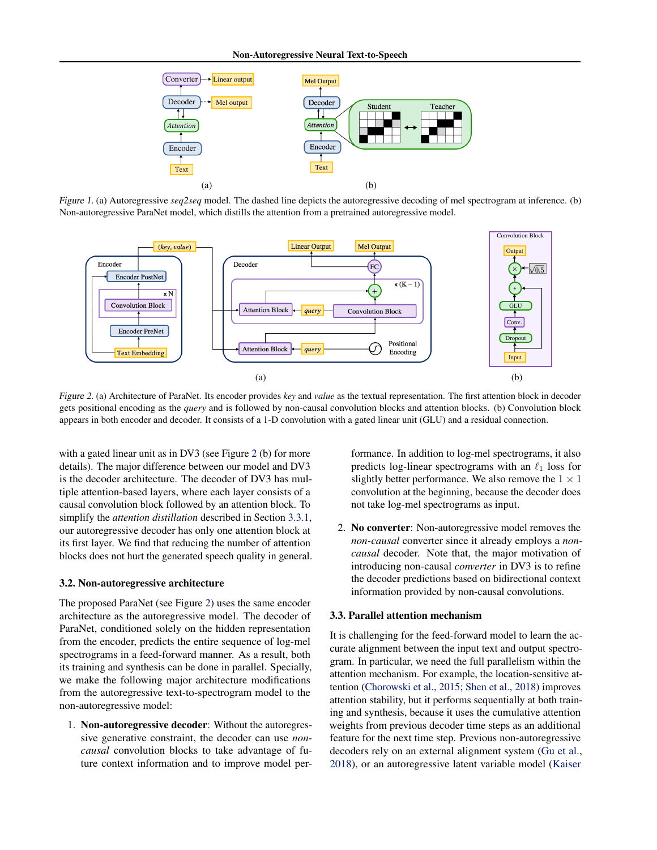<span id="page-2-0"></span>

Figure 1. (a) Autoregressive *seq2seq* model. The dashed line depicts the autoregressive decoding of mel spectrogram at inference. (b) Non-autoregressive ParaNet model, which distills the attention from a pretrained autoregressive model.



Figure 2. (a) Architecture of ParaNet. Its encoder provides *key* and *value* as the textual representation. The first attention block in decoder gets positional encoding as the *query* and is followed by non-causal convolution blocks and attention blocks. (b) Convolution block appears in both encoder and decoder. It consists of a 1-D convolution with a gated linear unit (GLU) and a residual connection.

with a gated linear unit as in DV3 (see Figure 2 (b) for more details). The major difference between our model and DV3 is the decoder architecture. The decoder of DV3 has multiple attention-based layers, where each layer consists of a causal convolution block followed by an attention block. To simplify the *attention distillation* described in Section [3.3.1,](#page-3-0) our autoregressive decoder has only one attention block at its first layer. We find that reducing the number of attention blocks does not hurt the generated speech quality in general.

#### 3.2. Non-autoregressive architecture

The proposed ParaNet (see Figure 2) uses the same encoder architecture as the autoregressive model. The decoder of ParaNet, conditioned solely on the hidden representation from the encoder, predicts the entire sequence of log-mel spectrograms in a feed-forward manner. As a result, both its training and synthesis can be done in parallel. Specially, we make the following major architecture modifications from the autoregressive text-to-spectrogram model to the non-autoregressive model:

1. Non-autoregressive decoder: Without the autoregressive generative constraint, the decoder can use *noncausal* convolution blocks to take advantage of future context information and to improve model performance. In addition to log-mel spectrograms, it also predicts log-linear spectrograms with an  $\ell_1$  loss for slightly better performance. We also remove the  $1 \times 1$ convolution at the beginning, because the decoder does not take log-mel spectrograms as input.

2. No converter: Non-autoregressive model removes the *non-causal* converter since it already employs a *noncausal* decoder. Note that, the major motivation of introducing non-causal *converter* in DV3 is to refine the decoder predictions based on bidirectional context information provided by non-causal convolutions.

#### 3.3. Parallel attention mechanism

It is challenging for the feed-forward model to learn the accurate alignment between the input text and output spectrogram. In particular, we need the full parallelism within the attention mechanism. For example, the location-sensitive attention [\(Chorowski et al.,](#page-8-0) [2015;](#page-8-0) [Shen et al.,](#page-9-0) [2018\)](#page-9-0) improves attention stability, but it performs sequentially at both training and synthesis, because it uses the cumulative attention weights from previous decoder time steps as an additional feature for the next time step. Previous non-autoregressive decoders rely on an external alignment system [\(Gu et al.,](#page-8-0) [2018\), or an autoregressive latent variable model \(Kaiser](#page-8-0)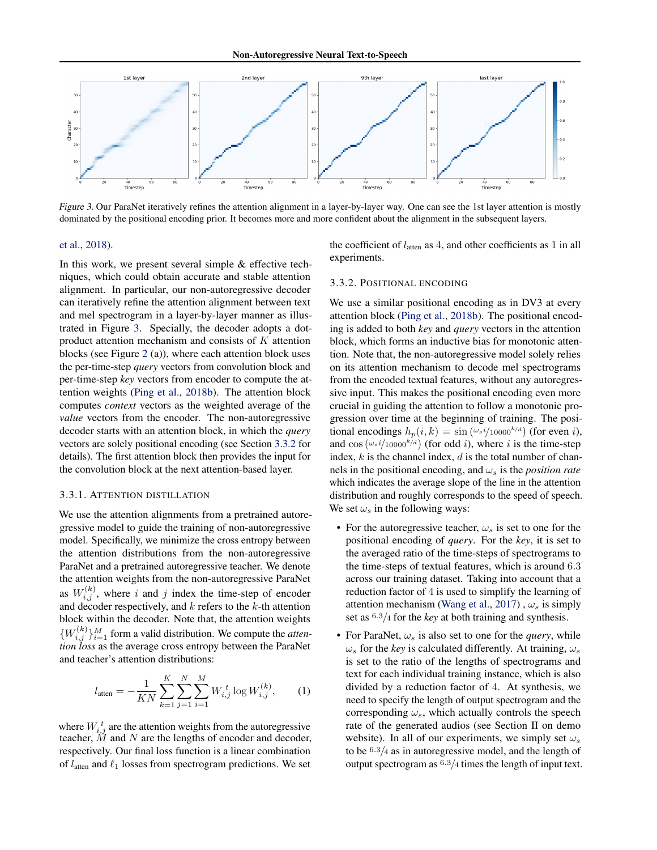<span id="page-3-0"></span>

[Figure 3.](#page-8-0) Our ParaNet iteratively refines the attention alignment in a layer-by-layer way. One can see the 1st layer attention is mostly dominated by the positional encoding prior. It becomes more and more confident about the alignment in the subsequent layers.

#### [et al.,](#page-8-0) [2018\)](#page-8-0).

In this work, we present several simple & effective techniques, which could obtain accurate and stable attention alignment. In particular, our non-autoregressive decoder can iteratively refine the attention alignment between text and mel spectrogram in a layer-by-layer manner as illustrated in Figure 3. Specially, the decoder adopts a dotproduct attention mechanism and consists of  $K$  attention blocks (see Figure [2](#page-2-0) (a)), where each attention block uses the per-time-step *query* vectors from convolution block and per-time-step *key* vectors from encoder to compute the attention weights [\(Ping et al.,](#page-9-0) [2018b\)](#page-9-0). The attention block computes *context* vectors as the weighted average of the *value* vectors from the encoder. The non-autoregressive decoder starts with an attention block, in which the *query* vectors are solely positional encoding (see Section 3.3.2 for details). The first attention block then provides the input for the convolution block at the next attention-based layer.

#### 3.3.1. ATTENTION DISTILLATION

We use the attention alignments from a pretrained autoregressive model to guide the training of non-autoregressive model. Specifically, we minimize the cross entropy between the attention distributions from the non-autoregressive ParaNet and a pretrained autoregressive teacher. We denote the attention weights from the non-autoregressive ParaNet as  $W_{i,j}^{(k)}$ , where i and j index the time-step of encoder and decoder respectively, and  $k$  refers to the  $k$ -th attention block within the decoder. Note that, the attention weights  $\{W_{i,j}^{(k)}\}_{i=1}^M$  form a valid distribution. We compute the *attention loss* as the average cross entropy between the ParaNet and teacher's attention distributions:

$$
l_{\text{atten}} = -\frac{1}{KN} \sum_{k=1}^{K} \sum_{j=1}^{N} \sum_{i=1}^{M} W_{i,j}^{t} \log W_{i,j}^{(k)}, \qquad (1)
$$

where  $W_{i,j}^t$  are the attention weights from the autoregressive teacher,  $\tilde{M}$  and  $N$  are the lengths of encoder and decoder, respectively. Our final loss function is a linear combination of  $l_{\text{atten}}$  and  $\ell_1$  losses from spectrogram predictions. We set

the coefficient of  $l_{\text{atten}}$  as 4, and other coefficients as 1 in all experiments.

#### 3.3.2. POSITIONAL ENCODING

We use a similar positional encoding as in DV3 at every attention block [\(Ping et al.,](#page-9-0) [2018b\)](#page-9-0). The positional encoding is added to both *key* and *query* vectors in the attention block, which forms an inductive bias for monotonic attention. Note that, the non-autoregressive model solely relies on its attention mechanism to decode mel spectrograms from the encoded textual features, without any autoregressive input. This makes the positional encoding even more crucial in guiding the attention to follow a monotonic progression over time at the beginning of training. The positional encodings  $h_p(i, k) = \sin(\omega_s i / 10000^{k/d})$  (for even i), and  $\cos(\omega_s i / 10000^{k/d})$  (for odd i), where i is the time-step index,  $k$  is the channel index,  $d$  is the total number of channels in the positional encoding, and  $\omega_s$  is the *position rate* which indicates the average slope of the line in the attention distribution and roughly corresponds to the speed of speech. We set  $\omega_s$  in the following ways:

- For the autoregressive teacher,  $\omega_s$  is set to one for the positional encoding of *query*. For the *key*, it is set to the averaged ratio of the time-steps of spectrograms to the time-steps of textual features, which is around 6.3 across our training dataset. Taking into account that a reduction factor of 4 is used to simplify the learning of attention mechanism [\(Wang et al.,](#page-9-0) [2017\)](#page-9-0),  $\omega_s$  is simply set as <sup>6</sup>.3/<sup>4</sup> for the *key* at both training and synthesis.
- For ParaNet,  $\omega_s$  is also set to one for the *query*, while  $\omega_s$  for the *key* is calculated differently. At training,  $\omega_s$ is set to the ratio of the lengths of spectrograms and text for each individual training instance, which is also divided by a reduction factor of 4. At synthesis, we need to specify the length of output spectrogram and the corresponding  $\omega_s$ , which actually controls the speech rate of the generated audios (see Section II on demo website). In all of our experiments, we simply set  $\omega_s$ to be  $6.3/4$  as in autoregressive model, and the length of output spectrogram as  $6.3/4$  times the length of input text.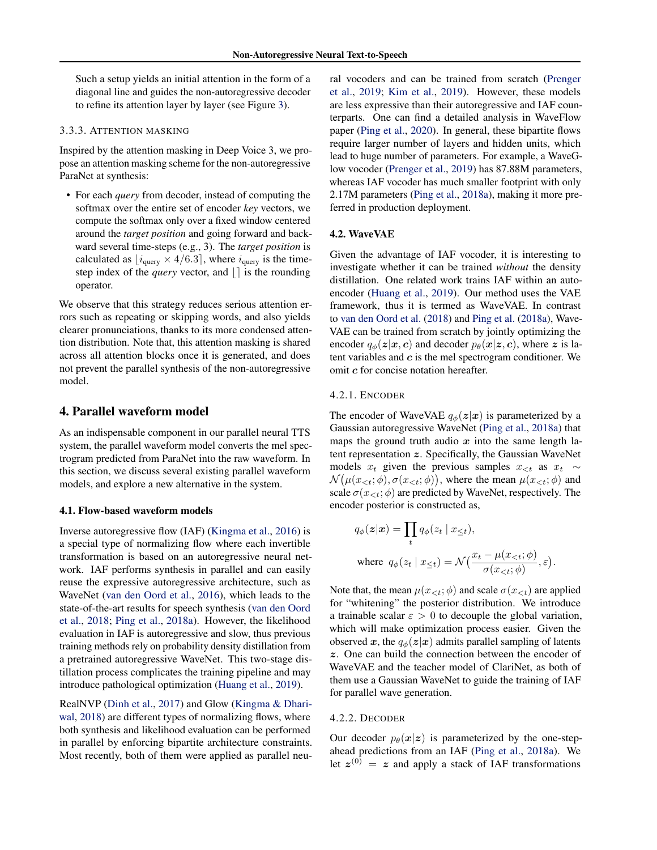<span id="page-4-0"></span>Such a setup yields an initial attention in the form of a diagonal line and guides the non-autoregressive decoder to refine its attention layer by layer (see Figure [3\)](#page-3-0).

#### 3.3.3. ATTENTION MASKING

Inspired by the attention masking in Deep Voice 3, we propose an attention masking scheme for the non-autoregressive ParaNet at synthesis:

• For each *query* from decoder, instead of computing the softmax over the entire set of encoder *key* vectors, we compute the softmax only over a fixed window centered around the *target position* and going forward and backward several time-steps (e.g., 3). The *target position* is calculated as  $[i_{query} \times 4/6.3]$ , where  $i_{query}$  is the timestep index of the *query* vector, and  $\vert \cdot \vert$  is the rounding operator.

We observe that this strategy reduces serious attention errors such as repeating or skipping words, and also yields clearer pronunciations, thanks to its more condensed attention distribution. Note that, this attention masking is shared across all attention blocks once it is generated, and does not prevent the parallel synthesis of the non-autoregressive model.

#### 4. Parallel waveform model

As an indispensable component in our parallel neural TTS system, the parallel waveform model converts the mel spectrogram predicted from ParaNet into the raw waveform. In this section, we discuss several existing parallel waveform models, and explore a new alternative in the system.

#### 4.1. Flow-based waveform models

Inverse autoregressive flow (IAF) [\(Kingma et al.,](#page-9-0) [2016\)](#page-9-0) is a special type of normalizing flow where each invertible transformation is based on an autoregressive neural network. IAF performs synthesis in parallel and can easily reuse the expressive autoregressive architecture, such as WaveNet [\(van den Oord et al.,](#page-9-0) [2016\)](#page-9-0), which leads to the state-of-the-art results for speech synthesis [\(van den Oord](#page-9-0) [et al.,](#page-9-0) [2018;](#page-9-0) [Ping et al.,](#page-9-0) [2018a\)](#page-9-0). However, the likelihood evaluation in IAF is autoregressive and slow, thus previous training methods rely on probability density distillation from a pretrained autoregressive WaveNet. This two-stage distillation process complicates the training pipeline and may introduce pathological optimization [\(Huang et al.,](#page-8-0) [2019\)](#page-8-0).

RealNVP [\(Dinh et al.,](#page-8-0) [2017\)](#page-8-0) and Glow [\(Kingma & Dhari](#page-8-0)[wal,](#page-8-0) [2018\)](#page-8-0) are different types of normalizing flows, where both synthesis and likelihood evaluation can be performed in parallel by enforcing bipartite architecture constraints. Most recently, both of them were applied as parallel neural vocoders and can be trained from scratch [\(Prenger](#page-9-0) [et al.,](#page-9-0) [2019;](#page-9-0) [Kim et al.,](#page-8-0) [2019\)](#page-8-0). However, these models are less expressive than their autoregressive and IAF counterparts. One can find a detailed analysis in WaveFlow paper [\(Ping et al.,](#page-9-0) [2020\)](#page-9-0). In general, these bipartite flows require larger number of layers and hidden units, which lead to huge number of parameters. For example, a WaveGlow vocoder [\(Prenger et al.,](#page-9-0) [2019\)](#page-9-0) has 87.88M parameters, whereas IAF vocoder has much smaller footprint with only 2.17M parameters [\(Ping et al.,](#page-9-0) [2018a\)](#page-9-0), making it more preferred in production deployment.

#### 4.2. WaveVAE

Given the advantage of IAF vocoder, it is interesting to investigate whether it can be trained *without* the density distillation. One related work trains IAF within an autoencoder [\(Huang et al.,](#page-8-0) [2019\)](#page-8-0). Our method uses the VAE framework, thus it is termed as WaveVAE. In contrast to [van den Oord et al.](#page-9-0) [\(2018\)](#page-9-0) and [Ping et al.](#page-9-0) [\(2018a\)](#page-9-0), Wave-VAE can be trained from scratch by jointly optimizing the encoder  $q_{\phi}(z|\mathbf{x}, c)$  and decoder  $p_{\theta}(\mathbf{x}|z, c)$ , where z is latent variables and  $c$  is the mel spectrogram conditioner. We omit c for concise notation hereafter.

## 4.2.1. ENCODER

The encoder of WaveVAE  $q_{\phi}(z|x)$  is parameterized by a Gaussian autoregressive WaveNet [\(Ping et al.,](#page-9-0) [2018a\)](#page-9-0) that maps the ground truth audio  $x$  into the same length latent representation z. Specifically, the Gaussian WaveNet models  $x_t$  given the previous samples  $x_{\leq t}$  as  $x_t \sim$  $\mathcal{N}(\mu(x_{<};\phi), \sigma(x_{<};\phi))$ , where the mean  $\mu(x_{<};\phi)$  and scale  $\sigma(x_{\leq t}; \phi)$  are predicted by WaveNet, respectively. The encoder posterior is constructed as,

$$
q_{\phi}(\mathbf{z}|\mathbf{x}) = \prod_{t} q_{\phi}(z_t | x_{\leq t}),
$$
  
where  $q_{\phi}(z_t | x_{\leq t}) = \mathcal{N}(\frac{x_t - \mu(x_{< t}; \phi)}{\sigma(x_{< t}; \phi)}, \varepsilon).$ 

Note that, the mean  $\mu(x_{< t}; \phi)$  and scale  $\sigma(x_{< t})$  are applied for "whitening" the posterior distribution. We introduce a trainable scalar  $\varepsilon > 0$  to decouple the global variation, which will make optimization process easier. Given the observed x, the  $q_{\phi}(z|x)$  admits parallel sampling of latents z. One can build the connection between the encoder of WaveVAE and the teacher model of ClariNet, as both of them use a Gaussian WaveNet to guide the training of IAF for parallel wave generation.

#### 4.2.2. DECODER

Our decoder  $p_{\theta}(\mathbf{x}|\mathbf{z})$  is parameterized by the one-stepahead predictions from an IAF [\(Ping et al.,](#page-9-0) [2018a\)](#page-9-0). We let  $z^{(0)} = z$  and apply a stack of IAF transformations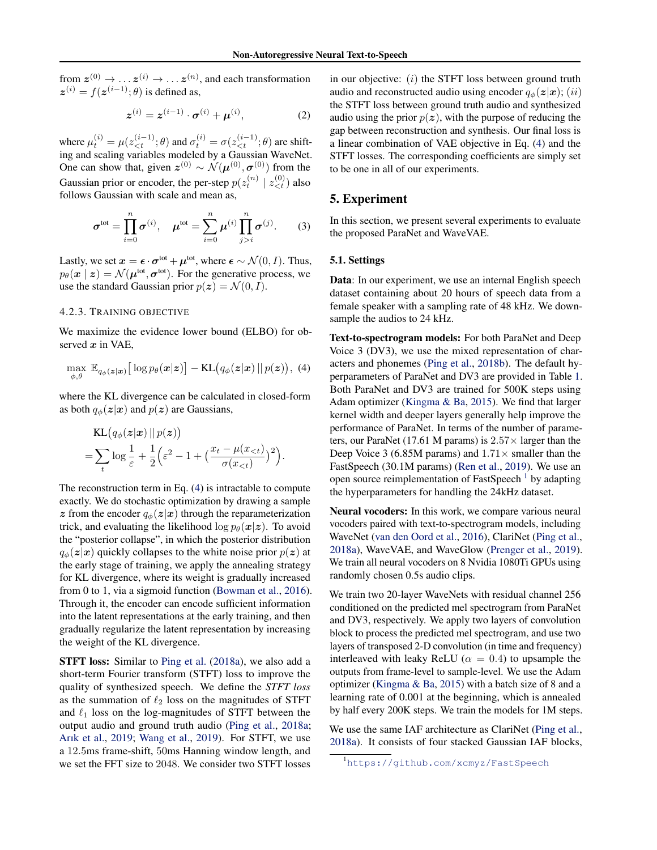<span id="page-5-0"></span>from  $z^{(0)} \rightarrow \ldots z^{(i)} \rightarrow \ldots z^{(n)}$ , and each transformation  $z^{(i)} = f(z^{(i-1)}; \theta)$  is defined as,

$$
z^{(i)} = z^{(i-1)} \cdot \sigma^{(i)} + \mu^{(i)}, \tag{2}
$$

where  $\mu_t^{(i)} = \mu(z_{\leq t}^{(i-1)}; \theta)$  and  $\sigma_t^{(i)} = \sigma(z_{\leq t}^{(i-1)}; \theta)$  are shifting and scaling variables modeled by a Gaussian WaveNet. One can show that, given  $z^{(0)} \sim \mathcal{N}(\mu^{(0)}, \sigma^{(0)})$  from the Gaussian prior or encoder, the per-step  $p(z_t^{(n)} | z_{\leq t}^{(0)})$  also follows Gaussian with scale and mean as,

$$
\boldsymbol{\sigma}^{\text{tot}} = \prod_{i=0}^{n} \boldsymbol{\sigma}^{(i)}, \quad \boldsymbol{\mu}^{\text{tot}} = \sum_{i=0}^{n} \boldsymbol{\mu}^{(i)} \prod_{j>i}^{n} \boldsymbol{\sigma}^{(j)}.
$$
 (3)

Lastly, we set  $\mathbf{x} = \boldsymbol{\epsilon} \cdot \boldsymbol{\sigma}^{\text{tot}} + \boldsymbol{\mu}^{\text{tot}}$ , where  $\boldsymbol{\epsilon} \sim \mathcal{N}(0, I)$ . Thus,  $p_{\theta}(\boldsymbol{x} \mid \boldsymbol{z}) = \mathcal{N}(\boldsymbol{\mu}^{\text{tot}}, \boldsymbol{\sigma}^{\text{tot}})$ . For the generative process, we use the standard Gaussian prior  $p(z) = \mathcal{N}(0, I)$ .

#### 4.2.3. TRAINING OBJECTIVE

We maximize the evidence lower bound (ELBO) for observed  $x$  in VAE,

$$
\max_{\phi,\theta} \mathbb{E}_{q_{\phi}(\boldsymbol{z}|\boldsymbol{x})} \big[ \log p_{\theta}(\boldsymbol{x}|\boldsymbol{z}) \big] - \mathrm{KL}\big(q_{\phi}(\boldsymbol{z}|\boldsymbol{x}) \,||\, p(\boldsymbol{z})\big),\,\,(4)
$$

where the KL divergence can be calculated in closed-form as both  $q_{\phi}(z|x)$  and  $p(z)$  are Gaussians,

$$
\begin{aligned} &\text{KL}\big(q_{\phi}(\boldsymbol{z}|\boldsymbol{x})\,\|\,p(\boldsymbol{z})\big) \\ &= \sum_{t} \log \frac{1}{\varepsilon} + \frac{1}{2} \Big(\varepsilon^2 - 1 + \big(\frac{x_t - \mu(x_{<})}{\sigma(x_{<})}\big)^2\Big). \end{aligned}
$$

The reconstruction term in Eq. (4) is intractable to compute exactly. We do stochastic optimization by drawing a sample z from the encoder  $q_{\phi}(z|x)$  through the reparameterization trick, and evaluating the likelihood  $\log p_\theta(\mathbf{x}|\mathbf{z})$ . To avoid the "posterior collapse", in which the posterior distribution  $q_{\phi}(z|x)$  quickly collapses to the white noise prior  $p(z)$  at the early stage of training, we apply the annealing strategy for KL divergence, where its weight is gradually increased from 0 to 1, via a sigmoid function [\(Bowman et al.,](#page-8-0) [2016\)](#page-8-0). Through it, the encoder can encode sufficient information into the latent representations at the early training, and then gradually regularize the latent representation by increasing the weight of the KL divergence.

STFT loss: Similar to [Ping et al.](#page-9-0) [\(2018a\)](#page-9-0), we also add a short-term Fourier transform (STFT) loss to improve the quality of synthesized speech. We define the *STFT loss* as the summation of  $\ell_2$  loss on the magnitudes of STFT and  $\ell_1$  loss on the log-magnitudes of STFT between the output audio and ground truth audio [\(Ping et al.,](#page-9-0) [2018a;](#page-9-0) [Arık et al.,](#page-8-0) [2019;](#page-8-0) [Wang et al.,](#page-9-0) [2019\)](#page-9-0). For STFT, we use a 12.5ms frame-shift, 50ms Hanning window length, and we set the FFT size to 2048. We consider two STFT losses

in our objective:  $(i)$  the STFT loss between ground truth audio and reconstructed audio using encoder  $q_{\phi}(z|x)$ ; (ii) the STFT loss between ground truth audio and synthesized audio using the prior  $p(z)$ , with the purpose of reducing the gap between reconstruction and synthesis. Our final loss is a linear combination of VAE objective in Eq. (4) and the STFT losses. The corresponding coefficients are simply set to be one in all of our experiments.

## 5. Experiment

In this section, we present several experiments to evaluate the proposed ParaNet and WaveVAE.

#### 5.1. Settings

Data: In our experiment, we use an internal English speech dataset containing about 20 hours of speech data from a female speaker with a sampling rate of 48 kHz. We downsample the audios to 24 kHz.

Text-to-spectrogram models: For both ParaNet and Deep Voice 3 (DV3), we use the mixed representation of characters and phonemes [\(Ping et al.,](#page-9-0) [2018b\)](#page-9-0). The default hyperparameters of ParaNet and DV3 are provided in Table [1.](#page-6-0) Both ParaNet and DV3 are trained for 500K steps using Adam optimizer [\(Kingma & Ba,](#page-8-0) [2015\)](#page-8-0). We find that larger kernel width and deeper layers generally help improve the performance of ParaNet. In terms of the number of parameters, our ParaNet (17.61 M params) is  $2.57\times$  larger than the Deep Voice 3 (6.85M params) and  $1.71\times$  smaller than the FastSpeech (30.1M params) [\(Ren et al.,](#page-9-0) [2019\)](#page-9-0). We use an open source reimplementation of FastSpeech  $<sup>1</sup>$  by adapting</sup> the hyperparameters for handling the 24kHz dataset.

Neural vocoders: In this work, we compare various neural vocoders paired with text-to-spectrogram models, including WaveNet [\(van den Oord et al.,](#page-9-0) [2016\)](#page-9-0), ClariNet [\(Ping et al.,](#page-9-0) [2018a\)](#page-9-0), WaveVAE, and WaveGlow [\(Prenger et al.,](#page-9-0) [2019\)](#page-9-0). We train all neural vocoders on 8 Nvidia 1080Ti GPUs using randomly chosen 0.5s audio clips.

We train two 20-layer WaveNets with residual channel 256 conditioned on the predicted mel spectrogram from ParaNet and DV3, respectively. We apply two layers of convolution block to process the predicted mel spectrogram, and use two layers of transposed 2-D convolution (in time and frequency) interleaved with leaky ReLU ( $\alpha = 0.4$ ) to upsample the outputs from frame-level to sample-level. We use the Adam optimizer [\(Kingma & Ba,](#page-8-0) [2015\)](#page-8-0) with a batch size of 8 and a learning rate of 0.001 at the beginning, which is annealed by half every 200K steps. We train the models for 1M steps.

We use the same IAF architecture as ClariNet [\(Ping et al.,](#page-9-0) [2018a\)](#page-9-0). It consists of four stacked Gaussian IAF blocks,

<sup>1</sup><https://github.com/xcmyz/FastSpeech>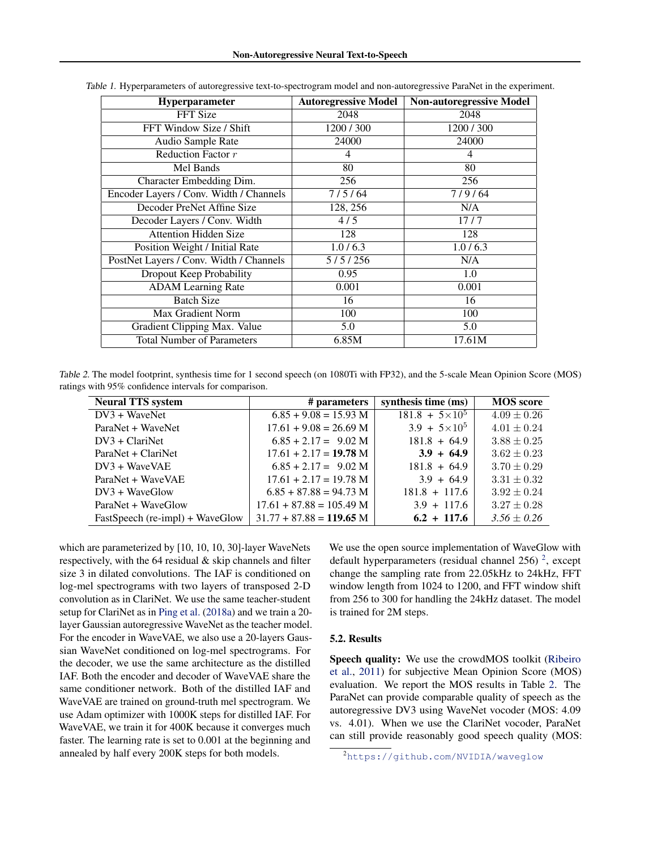| <b>Hyperparameter</b>                   | <b>Autoregressive Model</b> | <b>Non-autoregressive Model</b> |
|-----------------------------------------|-----------------------------|---------------------------------|
| FFT Size                                | 2048                        | 2048                            |
| FFT Window Size / Shift                 | 1200 / 300                  | 1200/300                        |
| Audio Sample Rate                       | 24000                       | 24000                           |
| Reduction Factor r                      | 4                           | 4                               |
| Mel Bands                               | 80                          | 80                              |
| Character Embedding Dim.                | 256                         | 256                             |
| Encoder Layers / Conv. Width / Channels | 7/5/64                      | 7/9/64                          |
| Decoder PreNet Affine Size              | 128, 256                    | N/A                             |
| Decoder Layers / Conv. Width            | 4/5                         | 17/7                            |
| <b>Attention Hidden Size</b>            | 128                         | 128                             |
| Position Weight / Initial Rate          | 1.0/6.3                     | 1.0/6.3                         |
| PostNet Layers / Conv. Width / Channels | 5/5/256                     | N/A                             |
| Dropout Keep Probability                | 0.95                        | 1.0                             |
| <b>ADAM</b> Learning Rate               | 0.001                       | 0.001                           |
| <b>Batch Size</b>                       | 16                          | 16                              |
| Max Gradient Norm                       | 100                         | 100                             |
| Gradient Clipping Max. Value            | 5.0                         | 5.0                             |
| <b>Total Number of Parameters</b>       | 6.85M                       | 17.61M                          |

<span id="page-6-0"></span>Table 1. Hyperparameters of autoregressive text-to-spectrogram model and non-autoregressive ParaNet in the experiment.

Table 2. The model footprint, synthesis time for 1 second speech (on 1080Ti with FP32), and the 5-scale Mean Opinion Score (MOS) ratings with 95% confidence intervals for comparison.

| <b>Neural TTS system</b>        | # parameters               | synthesis time (ms)     | <b>MOS</b> score |
|---------------------------------|----------------------------|-------------------------|------------------|
| $DV3 + WaveNet$                 | $6.85 + 9.08 = 15.93$ M    | $181.8 + 5 \times 10^5$ | $4.09 \pm 0.26$  |
| ParaNet + WaveNet               | $17.61 + 9.08 = 26.69$ M   | $3.9 + 5 \times 10^5$   | $4.01 \pm 0.24$  |
| $DV3 + ClariNet$                | $6.85 + 2.17 = 9.02$ M     | $181.8 + 64.9$          | $3.88 \pm 0.25$  |
| ParaNet + ClariNet              | $17.61 + 2.17 = 19.78$ M   | $3.9 + 64.9$            | $3.62 \pm 0.23$  |
| $DV3 + WaveVAE$                 | $6.85 + 2.17 = 9.02$ M     | $181.8 + 64.9$          | $3.70 \pm 0.29$  |
| ParaNet + WaveVAE               | $17.61 + 2.17 = 19.78$ M   | $3.9 + 64.9$            | $3.31 \pm 0.32$  |
| $DV3 + WaveGlow$                | $6.85 + 87.88 = 94.73$ M   | $181.8 + 117.6$         | $3.92 \pm 0.24$  |
| ParaNet + WaveGlow              | $17.61 + 87.88 = 105.49$ M | $3.9 + 117.6$           | $3.27 \pm 0.28$  |
| FastSpeech (re-impl) + WaveGlow | $31.77 + 87.88 = 119.65$ M | $6.2 + 117.6$           | $3.56 \pm 0.26$  |

which are parameterized by [10, 10, 10, 30]-layer WaveNets respectively, with the 64 residual & skip channels and filter size 3 in dilated convolutions. The IAF is conditioned on log-mel spectrograms with two layers of transposed 2-D convolution as in ClariNet. We use the same teacher-student setup for ClariNet as in [Ping et al.](#page-9-0) [\(2018a\)](#page-9-0) and we train a 20 layer Gaussian autoregressive WaveNet as the teacher model. For the encoder in WaveVAE, we also use a 20-layers Gaussian WaveNet conditioned on log-mel spectrograms. For the decoder, we use the same architecture as the distilled IAF. Both the encoder and decoder of WaveVAE share the same conditioner network. Both of the distilled IAF and WaveVAE are trained on ground-truth mel spectrogram. We use Adam optimizer with 1000K steps for distilled IAF. For WaveVAE, we train it for 400K because it converges much faster. The learning rate is set to 0.001 at the beginning and annealed by half every 200K steps for both models.

We use the open source implementation of WaveGlow with default hyperparameters (residual channel 256)<sup>2</sup>, except change the sampling rate from 22.05kHz to 24kHz, FFT window length from 1024 to 1200, and FFT window shift from 256 to 300 for handling the 24kHz dataset. The model is trained for 2M steps.

#### 5.2. Results

Speech quality: We use the crowdMOS toolkit [\(Ribeiro](#page-9-0) [et al.,](#page-9-0) [2011\)](#page-9-0) for subjective Mean Opinion Score (MOS) evaluation. We report the MOS results in Table 2. The ParaNet can provide comparable quality of speech as the autoregressive DV3 using WaveNet vocoder (MOS: 4.09 vs. 4.01). When we use the ClariNet vocoder, ParaNet can still provide reasonably good speech quality (MOS:

<sup>2</sup><https://github.com/NVIDIA/waveglow>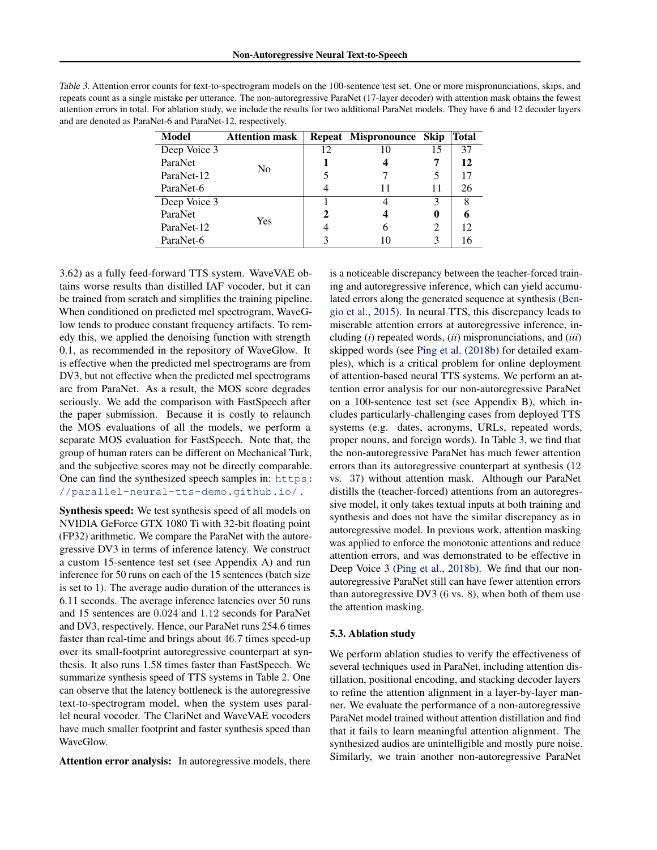<span id="page-7-0"></span>

| Table 3. Attention error counts for text-to-spectrogram models on the 100-sentence test set. One or more mispronunciations, skips, and     |
|--------------------------------------------------------------------------------------------------------------------------------------------|
| repeats count as a single mistake per utterance. The non-autoregressive ParaNet (17-layer decoder) with attention mask obtains the fewest  |
| attention errors in total. For ablation study, we include the results for two additional ParaNet models. They have 6 and 12 decoder layers |
| and are denoted as ParaNet-6 and ParaNet-12, respectively.                                                                                 |

| Model        | <b>Attention mask</b> |                | Repeat Mispronounce Skip |    | Total |
|--------------|-----------------------|----------------|--------------------------|----|-------|
| Deep Voice 3 | No                    | 12             | 10                       | 15 | 37    |
| ParaNet      |                       |                |                          | 7  | 12    |
| ParaNet-12   |                       |                |                          | 5  | 17    |
| ParaNet-6    |                       | 4              | 11                       | 11 | 26    |
| Deep Voice 3 | Yes                   |                |                          | 3  | 8     |
| ParaNet      |                       | $\mathfrak{D}$ |                          | 0  | 6     |
| ParaNet-12   |                       | 4              | 6                        | 2  | 12    |
| ParaNet-6    |                       |                |                          | 3  | 16    |

3.62) as a fully feed-forward TTS system. WaveVAE obtains worse results than distilled IAF vocoder, but it can be trained from scratch and simplifies the training pipeline. When conditioned on predicted mel spectrogram, WaveGlow tends to produce constant frequency artifacts. To remedy this, we applied the denoising function with strength 0.1, as recommended in the repository of WaveGlow. It is effective when the predicted mel spectrograms are from DV3, but not effective when the predicted mel spectrograms are from ParaNet. As a result, the MOS score degrades seriously. We add the comparison with FastSpeech after the paper submission. Because it is costly to relaunch the MOS evaluations of all the models, we perform a separate MOS evaluation for FastSpeech. Note that, the group of human raters can be different on Mechanical Turk, and the subjective scores may not be directly comparable. One can find the synthesized speech samples in: [https:](https://parallel-neural-tts-demo.github.io/) [//parallel-neural-tts-demo.github.io/](https://parallel-neural-tts-demo.github.io/) .

Synthesis speed: We test synthesis speed of all models on NVIDIA GeForce GTX 1080 Ti with 32-bit floating point (FP32) arithmetic. We compare the ParaNet with the autoregressive DV3 in terms of inference latency. We construct a custom 15-sentence test set (see Appendix A) and run inference for 50 runs on each of the 15 sentences (batch size is set to 1). The average audio duration of the utterances is 6.11 seconds. The average inference latencies over 50 runs and 15 sentences are 0.024 and 1.12 seconds for ParaNet and DV3, respectively. Hence, our ParaNet runs 254.6 times faster than real-time and brings about 46.7 times speed-up over its small-footprint autoregressive counterpart at synthesis. It also runs 1.58 times faster than FastSpeech. We summarize synthesis speed of TTS systems in Table [2.](#page-6-0) One can observe that the latency bottleneck is the autoregressive text-to-spectrogram model, when the system uses parallel neural vocoder. The ClariNet and WaveVAE vocoders have much smaller footprint and faster synthesis speed than WaveGlow.

Attention error analysis: In autoregressive models, there

is a noticeable discrepancy between the teacher-forced training and autoregressive inference, which can yield accumulated errors along the generated sequence at synthesis [\(Ben](#page-8-0)[gio et al.,](#page-8-0) [2015\)](#page-8-0). In neural TTS, this discrepancy leads to miserable attention errors at autoregressive inference, including (*i*) repeated words, (*ii*) mispronunciations, and (*iii*) skipped words (see [Ping et al.](#page-9-0) [\(2018b\)](#page-9-0) for detailed examples), which is a critical problem for online deployment of attention-based neural TTS systems. We perform an attention error analysis for our non-autoregressive ParaNet on a 100-sentence test set (see Appendix B), which includes particularly-challenging cases from deployed TTS systems (e.g. dates, acronyms, URLs, repeated words, proper nouns, and foreign words). In Table 3, we find that the non-autoregressive ParaNet has much fewer attention errors than its autoregressive counterpart at synthesis (12 vs. 37) without attention mask. Although our ParaNet distills the (teacher-forced) attentions from an autoregressive model, it only takes textual inputs at both training and synthesis and does not have the similar discrepancy as in autoregressive model. In previous work, attention masking was applied to enforce the monotonic attentions and reduce attention errors, and was demonstrated to be effective in Deep Voice 3 [\(Ping et al.,](#page-9-0) [2018b\)](#page-9-0). We find that our nonautoregressive ParaNet still can have fewer attention errors than autoregressive DV3 (6 vs. 8), when both of them use the attention masking.

#### 5.3. Ablation study

We perform ablation studies to verify the effectiveness of several techniques used in ParaNet, including attention distillation, positional encoding, and stacking decoder layers to refine the attention alignment in a layer-by-layer manner. We evaluate the performance of a non-autoregressive ParaNet model trained without attention distillation and find that it fails to learn meaningful attention alignment. The synthesized audios are unintelligible and mostly pure noise. Similarly, we train another non-autoregressive ParaNet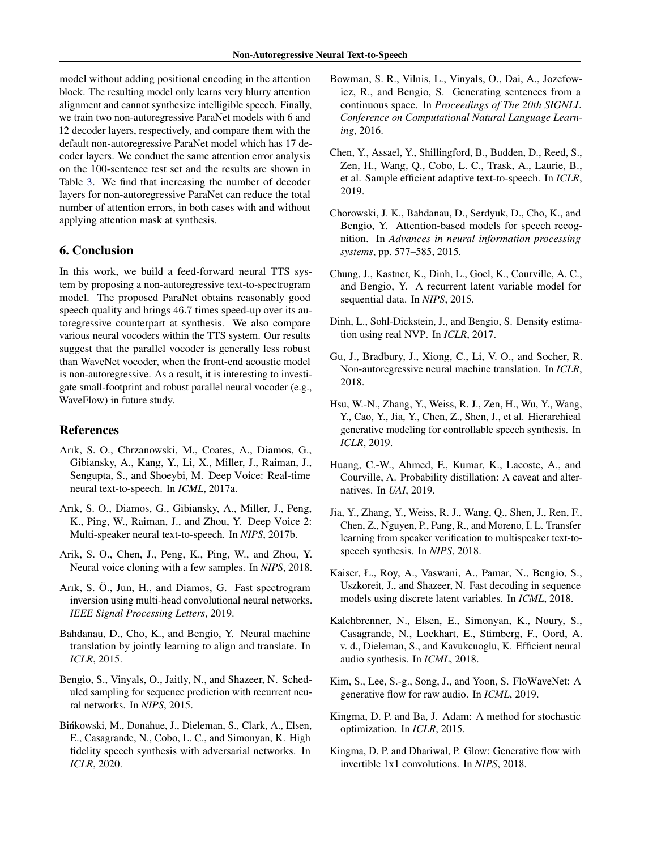<span id="page-8-0"></span>model without adding positional encoding in the attention block. The resulting model only learns very blurry attention alignment and cannot synthesize intelligible speech. Finally, we train two non-autoregressive ParaNet models with 6 and 12 decoder layers, respectively, and compare them with the default non-autoregressive ParaNet model which has 17 decoder layers. We conduct the same attention error analysis on the 100-sentence test set and the results are shown in Table [3.](#page-7-0) We find that increasing the number of decoder layers for non-autoregressive ParaNet can reduce the total number of attention errors, in both cases with and without applying attention mask at synthesis.

## 6. Conclusion

In this work, we build a feed-forward neural TTS system by proposing a non-autoregressive text-to-spectrogram model. The proposed ParaNet obtains reasonably good speech quality and brings 46.7 times speed-up over its autoregressive counterpart at synthesis. We also compare various neural vocoders within the TTS system. Our results suggest that the parallel vocoder is generally less robust than WaveNet vocoder, when the front-end acoustic model is non-autoregressive. As a result, it is interesting to investigate small-footprint and robust parallel neural vocoder (e.g., WaveFlow) in future study.

## References

- Arık, S. O., Chrzanowski, M., Coates, A., Diamos, G., Gibiansky, A., Kang, Y., Li, X., Miller, J., Raiman, J., Sengupta, S., and Shoeybi, M. Deep Voice: Real-time neural text-to-speech. In *ICML*, 2017a.
- Arık, S. O., Diamos, G., Gibiansky, A., Miller, J., Peng, K., Ping, W., Raiman, J., and Zhou, Y. Deep Voice 2: Multi-speaker neural text-to-speech. In *NIPS*, 2017b.
- Arik, S. O., Chen, J., Peng, K., Ping, W., and Zhou, Y. Neural voice cloning with a few samples. In *NIPS*, 2018.
- Arık, S. Ö., Jun, H., and Diamos, G. Fast spectrogram inversion using multi-head convolutional neural networks. *IEEE Signal Processing Letters*, 2019.
- Bahdanau, D., Cho, K., and Bengio, Y. Neural machine translation by jointly learning to align and translate. In *ICLR*, 2015.
- Bengio, S., Vinyals, O., Jaitly, N., and Shazeer, N. Scheduled sampling for sequence prediction with recurrent neural networks. In *NIPS*, 2015.
- Binkowski, M., Donahue, J., Dieleman, S., Clark, A., Elsen, ´ E., Casagrande, N., Cobo, L. C., and Simonyan, K. High fidelity speech synthesis with adversarial networks. In *ICLR*, 2020.
- Bowman, S. R., Vilnis, L., Vinyals, O., Dai, A., Jozefowicz, R., and Bengio, S. Generating sentences from a continuous space. In *Proceedings of The 20th SIGNLL Conference on Computational Natural Language Learning*, 2016.
- Chen, Y., Assael, Y., Shillingford, B., Budden, D., Reed, S., Zen, H., Wang, Q., Cobo, L. C., Trask, A., Laurie, B., et al. Sample efficient adaptive text-to-speech. In *ICLR*, 2019.
- Chorowski, J. K., Bahdanau, D., Serdyuk, D., Cho, K., and Bengio, Y. Attention-based models for speech recognition. In *Advances in neural information processing systems*, pp. 577–585, 2015.
- Chung, J., Kastner, K., Dinh, L., Goel, K., Courville, A. C., and Bengio, Y. A recurrent latent variable model for sequential data. In *NIPS*, 2015.
- Dinh, L., Sohl-Dickstein, J., and Bengio, S. Density estimation using real NVP. In *ICLR*, 2017.
- Gu, J., Bradbury, J., Xiong, C., Li, V. O., and Socher, R. Non-autoregressive neural machine translation. In *ICLR*, 2018.
- Hsu, W.-N., Zhang, Y., Weiss, R. J., Zen, H., Wu, Y., Wang, Y., Cao, Y., Jia, Y., Chen, Z., Shen, J., et al. Hierarchical generative modeling for controllable speech synthesis. In *ICLR*, 2019.
- Huang, C.-W., Ahmed, F., Kumar, K., Lacoste, A., and Courville, A. Probability distillation: A caveat and alternatives. In *UAI*, 2019.
- Jia, Y., Zhang, Y., Weiss, R. J., Wang, Q., Shen, J., Ren, F., Chen, Z., Nguyen, P., Pang, R., and Moreno, I. L. Transfer learning from speaker verification to multispeaker text-tospeech synthesis. In *NIPS*, 2018.
- Kaiser, Ł., Roy, A., Vaswani, A., Pamar, N., Bengio, S., Uszkoreit, J., and Shazeer, N. Fast decoding in sequence models using discrete latent variables. In *ICML*, 2018.
- Kalchbrenner, N., Elsen, E., Simonyan, K., Noury, S., Casagrande, N., Lockhart, E., Stimberg, F., Oord, A. v. d., Dieleman, S., and Kavukcuoglu, K. Efficient neural audio synthesis. In *ICML*, 2018.
- Kim, S., Lee, S.-g., Song, J., and Yoon, S. FloWaveNet: A generative flow for raw audio. In *ICML*, 2019.
- Kingma, D. P. and Ba, J. Adam: A method for stochastic optimization. In *ICLR*, 2015.
- Kingma, D. P. and Dhariwal, P. Glow: Generative flow with invertible 1x1 convolutions. In *NIPS*, 2018.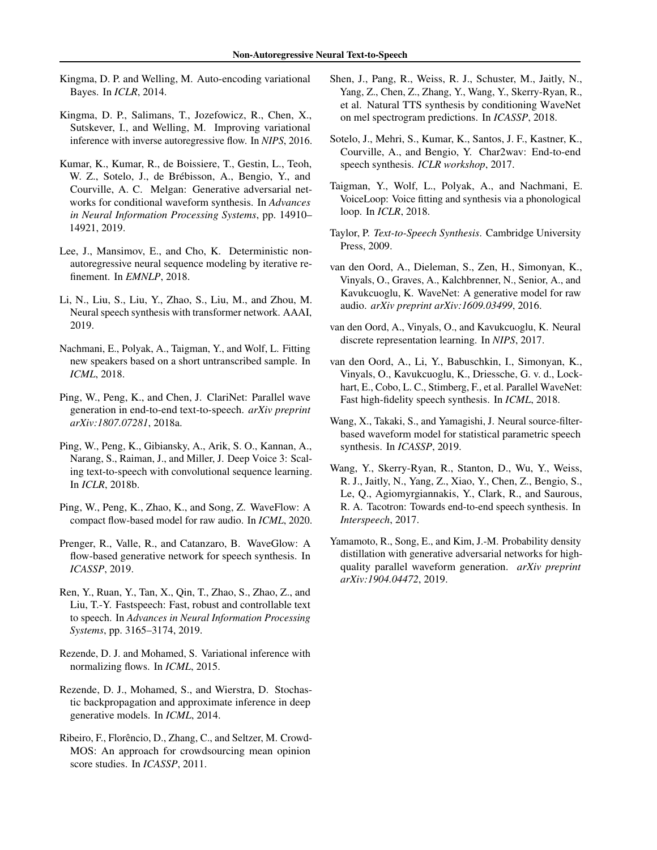- <span id="page-9-0"></span>Kingma, D. P. and Welling, M. Auto-encoding variational Bayes. In *ICLR*, 2014.
- Kingma, D. P., Salimans, T., Jozefowicz, R., Chen, X., Sutskever, I., and Welling, M. Improving variational inference with inverse autoregressive flow. In *NIPS*, 2016.
- Kumar, K., Kumar, R., de Boissiere, T., Gestin, L., Teoh, W. Z., Sotelo, J., de Brébisson, A., Bengio, Y., and Courville, A. C. Melgan: Generative adversarial networks for conditional waveform synthesis. In *Advances in Neural Information Processing Systems*, pp. 14910– 14921, 2019.
- Lee, J., Mansimov, E., and Cho, K. Deterministic nonautoregressive neural sequence modeling by iterative refinement. In *EMNLP*, 2018.
- Li, N., Liu, S., Liu, Y., Zhao, S., Liu, M., and Zhou, M. Neural speech synthesis with transformer network. AAAI, 2019.
- Nachmani, E., Polyak, A., Taigman, Y., and Wolf, L. Fitting new speakers based on a short untranscribed sample. In *ICML*, 2018.
- Ping, W., Peng, K., and Chen, J. ClariNet: Parallel wave generation in end-to-end text-to-speech. *arXiv preprint arXiv:1807.07281*, 2018a.
- Ping, W., Peng, K., Gibiansky, A., Arik, S. O., Kannan, A., Narang, S., Raiman, J., and Miller, J. Deep Voice 3: Scaling text-to-speech with convolutional sequence learning. In *ICLR*, 2018b.
- Ping, W., Peng, K., Zhao, K., and Song, Z. WaveFlow: A compact flow-based model for raw audio. In *ICML*, 2020.
- Prenger, R., Valle, R., and Catanzaro, B. WaveGlow: A flow-based generative network for speech synthesis. In *ICASSP*, 2019.
- Ren, Y., Ruan, Y., Tan, X., Qin, T., Zhao, S., Zhao, Z., and Liu, T.-Y. Fastspeech: Fast, robust and controllable text to speech. In *Advances in Neural Information Processing Systems*, pp. 3165–3174, 2019.
- Rezende, D. J. and Mohamed, S. Variational inference with normalizing flows. In *ICML*, 2015.
- Rezende, D. J., Mohamed, S., and Wierstra, D. Stochastic backpropagation and approximate inference in deep generative models. In *ICML*, 2014.
- Ribeiro, F., Florêncio, D., Zhang, C., and Seltzer, M. Crowd-MOS: An approach for crowdsourcing mean opinion score studies. In *ICASSP*, 2011.
- Shen, J., Pang, R., Weiss, R. J., Schuster, M., Jaitly, N., Yang, Z., Chen, Z., Zhang, Y., Wang, Y., Skerry-Ryan, R., et al. Natural TTS synthesis by conditioning WaveNet on mel spectrogram predictions. In *ICASSP*, 2018.
- Sotelo, J., Mehri, S., Kumar, K., Santos, J. F., Kastner, K., Courville, A., and Bengio, Y. Char2wav: End-to-end speech synthesis. *ICLR workshop*, 2017.
- Taigman, Y., Wolf, L., Polyak, A., and Nachmani, E. VoiceLoop: Voice fitting and synthesis via a phonological loop. In *ICLR*, 2018.
- Taylor, P. *Text-to-Speech Synthesis*. Cambridge University Press, 2009.
- van den Oord, A., Dieleman, S., Zen, H., Simonyan, K., Vinyals, O., Graves, A., Kalchbrenner, N., Senior, A., and Kavukcuoglu, K. WaveNet: A generative model for raw audio. *arXiv preprint arXiv:1609.03499*, 2016.
- van den Oord, A., Vinyals, O., and Kavukcuoglu, K. Neural discrete representation learning. In *NIPS*, 2017.
- van den Oord, A., Li, Y., Babuschkin, I., Simonyan, K., Vinyals, O., Kavukcuoglu, K., Driessche, G. v. d., Lockhart, E., Cobo, L. C., Stimberg, F., et al. Parallel WaveNet: Fast high-fidelity speech synthesis. In *ICML*, 2018.
- Wang, X., Takaki, S., and Yamagishi, J. Neural source-filterbased waveform model for statistical parametric speech synthesis. In *ICASSP*, 2019.
- Wang, Y., Skerry-Ryan, R., Stanton, D., Wu, Y., Weiss, R. J., Jaitly, N., Yang, Z., Xiao, Y., Chen, Z., Bengio, S., Le, Q., Agiomyrgiannakis, Y., Clark, R., and Saurous, R. A. Tacotron: Towards end-to-end speech synthesis. In *Interspeech*, 2017.
- Yamamoto, R., Song, E., and Kim, J.-M. Probability density distillation with generative adversarial networks for highquality parallel waveform generation. *arXiv preprint arXiv:1904.04472*, 2019.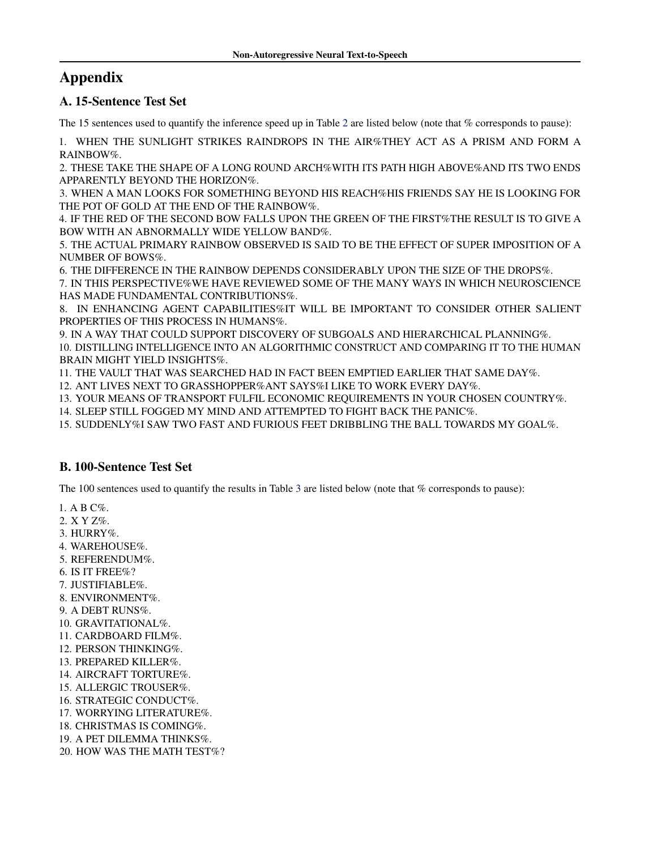# Appendix

## A. 15-Sentence Test Set

The 15 sentences used to quantify the inference speed up in Table [2](#page-6-0) are listed below (note that % corresponds to pause):

1. WHEN THE SUNLIGHT STRIKES RAINDROPS IN THE AIR%THEY ACT AS A PRISM AND FORM A RAINBOW%.

2. THESE TAKE THE SHAPE OF A LONG ROUND ARCH%WITH ITS PATH HIGH ABOVE%AND ITS TWO ENDS APPARENTLY BEYOND THE HORIZON%.

3. WHEN A MAN LOOKS FOR SOMETHING BEYOND HIS REACH%HIS FRIENDS SAY HE IS LOOKING FOR THE POT OF GOLD AT THE END OF THE RAINBOW%.

4. IF THE RED OF THE SECOND BOW FALLS UPON THE GREEN OF THE FIRST%THE RESULT IS TO GIVE A BOW WITH AN ABNORMALLY WIDE YELLOW BAND%.

5. THE ACTUAL PRIMARY RAINBOW OBSERVED IS SAID TO BE THE EFFECT OF SUPER IMPOSITION OF A NUMBER OF BOWS%.

6. THE DIFFERENCE IN THE RAINBOW DEPENDS CONSIDERABLY UPON THE SIZE OF THE DROPS%.

7. IN THIS PERSPECTIVE%WE HAVE REVIEWED SOME OF THE MANY WAYS IN WHICH NEUROSCIENCE HAS MADE FUNDAMENTAL CONTRIBUTIONS%.

8. IN ENHANCING AGENT CAPABILITIES%IT WILL BE IMPORTANT TO CONSIDER OTHER SALIENT PROPERTIES OF THIS PROCESS IN HUMANS%.

9. IN A WAY THAT COULD SUPPORT DISCOVERY OF SUBGOALS AND HIERARCHICAL PLANNING%. 10. DISTILLING INTELLIGENCE INTO AN ALGORITHMIC CONSTRUCT AND COMPARING IT TO THE HUMAN BRAIN MIGHT YIELD INSIGHTS%.

11. THE VAULT THAT WAS SEARCHED HAD IN FACT BEEN EMPTIED EARLIER THAT SAME DAY%.

12. ANT LIVES NEXT TO GRASSHOPPER%ANT SAYS%I LIKE TO WORK EVERY DAY%.

13. YOUR MEANS OF TRANSPORT FULFIL ECONOMIC REQUIREMENTS IN YOUR CHOSEN COUNTRY%.

14. SLEEP STILL FOGGED MY MIND AND ATTEMPTED TO FIGHT BACK THE PANIC%.

15. SUDDENLY%I SAW TWO FAST AND FURIOUS FEET DRIBBLING THE BALL TOWARDS MY GOAL%.

## B. 100-Sentence Test Set

The 100 sentences used to quantify the results in Table [3](#page-7-0) are listed below (note that % corresponds to pause):

1. A B C%.

- 2. X Y Z%.
- 3. HURRY%.
- 4. WAREHOUSE%.
- 5. REFERENDUM%.
- 6. IS IT FREE%?
- 7. JUSTIFIABLE%.
- 8. ENVIRONMENT%.
- 9. A DEBT RUNS%.
- 10. GRAVITATIONAL%.
- 11. CARDBOARD FILM%.
- 12. PERSON THINKING%.
- 13. PREPARED KILLER%.
- 14. AIRCRAFT TORTURE%.
- 15. ALLERGIC TROUSER%.
- 16. STRATEGIC CONDUCT%.
- 17. WORRYING LITERATURE%.
- 18. CHRISTMAS IS COMING%.
- 19. A PET DILEMMA THINKS%.
- 20. HOW WAS THE MATH TEST%?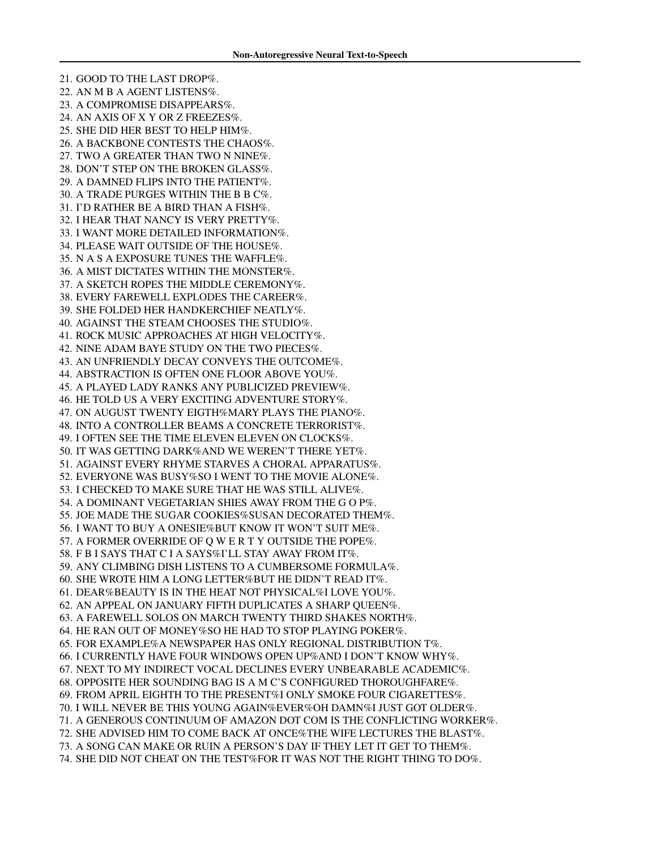21. GOOD TO THE LAST DROP%. 22. AN M B A AGENT LISTENS%. 23. A COMPROMISE DISAPPEARS%. 24. AN AXIS OF X Y OR Z FREEZES%. 25. SHE DID HER BEST TO HELP HIM%. 26. A BACKBONE CONTESTS THE CHAOS%. 27. TWO A GREATER THAN TWO N NINE%. 28. DON'T STEP ON THE BROKEN GLASS%. 29. A DAMNED FLIPS INTO THE PATIENT%. 30. A TRADE PURGES WITHIN THE B B C%. 31. I'D RATHER BE A BIRD THAN A FISH%. 32. I HEAR THAT NANCY IS VERY PRETTY%. 33. I WANT MORE DETAILED INFORMATION%. 34. PLEASE WAIT OUTSIDE OF THE HOUSE%. 35. N A S A EXPOSURE TUNES THE WAFFLE%. 36. A MIST DICTATES WITHIN THE MONSTER%. 37. A SKETCH ROPES THE MIDDLE CEREMONY%. 38. EVERY FAREWELL EXPLODES THE CAREER%. 39. SHE FOLDED HER HANDKERCHIEF NEATLY%. 40. AGAINST THE STEAM CHOOSES THE STUDIO%. 41. ROCK MUSIC APPROACHES AT HIGH VELOCITY%. 42. NINE ADAM BAYE STUDY ON THE TWO PIECES%. 43. AN UNFRIENDLY DECAY CONVEYS THE OUTCOME%. 44. ABSTRACTION IS OFTEN ONE FLOOR ABOVE YOU%. 45. A PLAYED LADY RANKS ANY PUBLICIZED PREVIEW%. 46. HE TOLD US A VERY EXCITING ADVENTURE STORY%. 47. ON AUGUST TWENTY EIGTH%MARY PLAYS THE PIANO%. 48. INTO A CONTROLLER BEAMS A CONCRETE TERRORIST%. 49. I OFTEN SEE THE TIME ELEVEN ELEVEN ON CLOCKS%. 50. IT WAS GETTING DARK%AND WE WEREN'T THERE YET%. 51. AGAINST EVERY RHYME STARVES A CHORAL APPARATUS%. 52. EVERYONE WAS BUSY%SO I WENT TO THE MOVIE ALONE%. 53. I CHECKED TO MAKE SURE THAT HE WAS STILL ALIVE%. 54. A DOMINANT VEGETARIAN SHIES AWAY FROM THE G O P%. 55. JOE MADE THE SUGAR COOKIES%SUSAN DECORATED THEM%. 56. I WANT TO BUY A ONESIE%BUT KNOW IT WON'T SUIT ME%. 57. A FORMER OVERRIDE OF Q W E R T Y OUTSIDE THE POPE%. 58. F B I SAYS THAT C I A SAYS%I'LL STAY AWAY FROM IT%. 59. ANY CLIMBING DISH LISTENS TO A CUMBERSOME FORMULA%. 60. SHE WROTE HIM A LONG LETTER%BUT HE DIDN'T READ IT%. 61. DEAR%BEAUTY IS IN THE HEAT NOT PHYSICAL%I LOVE YOU%. 62. AN APPEAL ON JANUARY FIFTH DUPLICATES A SHARP QUEEN%. 63. A FAREWELL SOLOS ON MARCH TWENTY THIRD SHAKES NORTH%. 64. HE RAN OUT OF MONEY%SO HE HAD TO STOP PLAYING POKER%. 65. FOR EXAMPLE%A NEWSPAPER HAS ONLY REGIONAL DISTRIBUTION T%. 66. I CURRENTLY HAVE FOUR WINDOWS OPEN UP%AND I DON'T KNOW WHY%. 67. NEXT TO MY INDIRECT VOCAL DECLINES EVERY UNBEARABLE ACADEMIC%. 68. OPPOSITE HER SOUNDING BAG IS A M C'S CONFIGURED THOROUGHFARE%. 69. FROM APRIL EIGHTH TO THE PRESENT%I ONLY SMOKE FOUR CIGARETTES%. 70. I WILL NEVER BE THIS YOUNG AGAIN%EVER%OH DAMN%I JUST GOT OLDER%. 71. A GENEROUS CONTINUUM OF AMAZON DOT COM IS THE CONFLICTING WORKER%. 72. SHE ADVISED HIM TO COME BACK AT ONCE%THE WIFE LECTURES THE BLAST%. 73. A SONG CAN MAKE OR RUIN A PERSON'S DAY IF THEY LET IT GET TO THEM%. 74. SHE DID NOT CHEAT ON THE TEST%FOR IT WAS NOT THE RIGHT THING TO DO%.